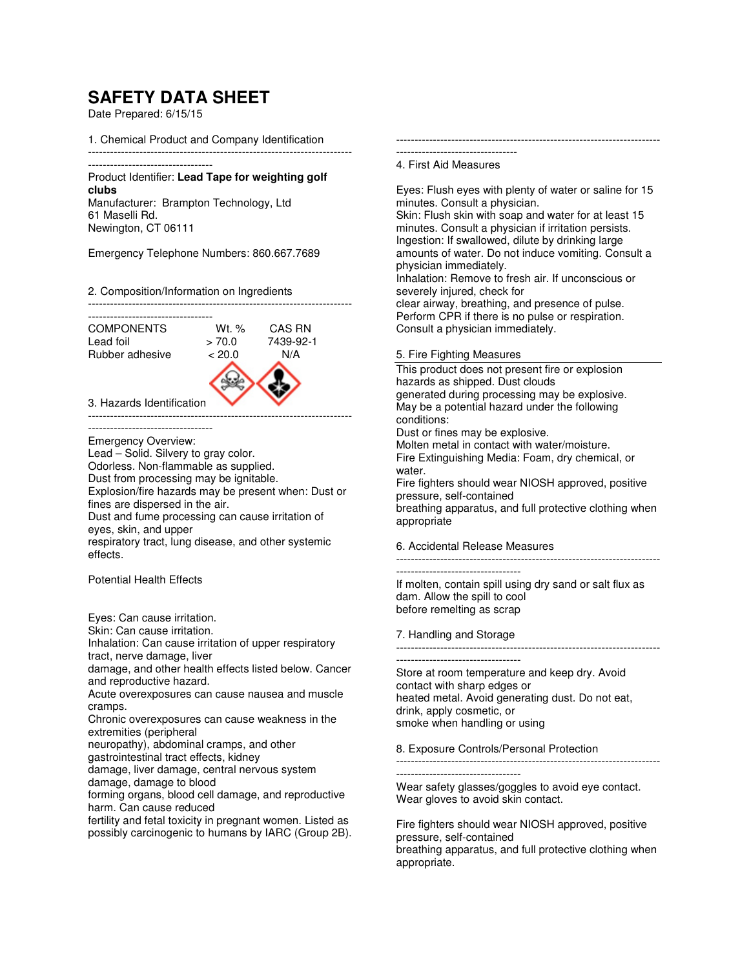## **SAFETY DATA SHEET**

Date Prepared: 6/15/15

1. Chemical Product and Company Identification

------------------------------------------------------------------------

## ---------------------------------- Product Identifier: **Lead Tape for weighting golf clubs** Manufacturer: Brampton Technology, Ltd

61 Maselli Rd. Newington, CT 06111

Emergency Telephone Numbers: 860.667.7689

2. Composition/Information on Ingredients

------------------------------------------------------------------------ ----------------------------------



------------------------------------------------------------------------

----------------------------------

Emergency Overview: Lead – Solid. Silvery to gray color. Odorless. Non-flammable as supplied. Dust from processing may be ignitable. Explosion/fire hazards may be present when: Dust or fines are dispersed in the air. Dust and fume processing can cause irritation of eyes, skin, and upper

respiratory tract, lung disease, and other systemic effects.

Potential Health Effects

Eyes: Can cause irritation.

Skin: Can cause irritation.

Inhalation: Can cause irritation of upper respiratory tract, nerve damage, liver

damage, and other health effects listed below. Cancer and reproductive hazard.

Acute overexposures can cause nausea and muscle cramps.

Chronic overexposures can cause weakness in the extremities (peripheral

neuropathy), abdominal cramps, and other

gastrointestinal tract effects, kidney

damage, liver damage, central nervous system

damage, damage to blood

forming organs, blood cell damage, and reproductive harm. Can cause reduced

fertility and fetal toxicity in pregnant women. Listed as possibly carcinogenic to humans by IARC (Group 2B). ------------------------------------------------------------------------ ---------------------------------

4. First Aid Measures

Eyes: Flush eyes with plenty of water or saline for 15 minutes. Consult a physician. Skin: Flush skin with soap and water for at least 15 minutes. Consult a physician if irritation persists. Ingestion: If swallowed, dilute by drinking large amounts of water. Do not induce vomiting. Consult a physician immediately. Inhalation: Remove to fresh air. If unconscious or severely injured, check for clear airway, breathing, and presence of pulse. Perform CPR if there is no pulse or respiration. Consult a physician immediately.

5. Fire Fighting Measures

This product does not present fire or explosion hazards as shipped. Dust clouds generated during processing may be explosive. May be a potential hazard under the following conditions:

Dust or fines may be explosive.

Molten metal in contact with water/moisture. Fire Extinguishing Media: Foam, dry chemical, or water. Fire fighters should wear NIOSH approved, positive pressure, self-contained

breathing apparatus, and full protective clothing when appropriate

6. Accidental Release Measures

------------------------------------------------------------------------

----------------------------------

If molten, contain spill using dry sand or salt flux as dam. Allow the spill to cool before remelting as scrap

7. Handling and Storage

------------------------------------------------------------------------

---------------------------------- Store at room temperature and keep dry. Avoid contact with sharp edges or heated metal. Avoid generating dust. Do not eat, drink, apply cosmetic, or smoke when handling or using

8. Exposure Controls/Personal Protection

------------------------------------------------------------------------

----------------------------------

Wear safety glasses/goggles to avoid eye contact. Wear gloves to avoid skin contact.

Fire fighters should wear NIOSH approved, positive pressure, self-contained breathing apparatus, and full protective clothing when appropriate.